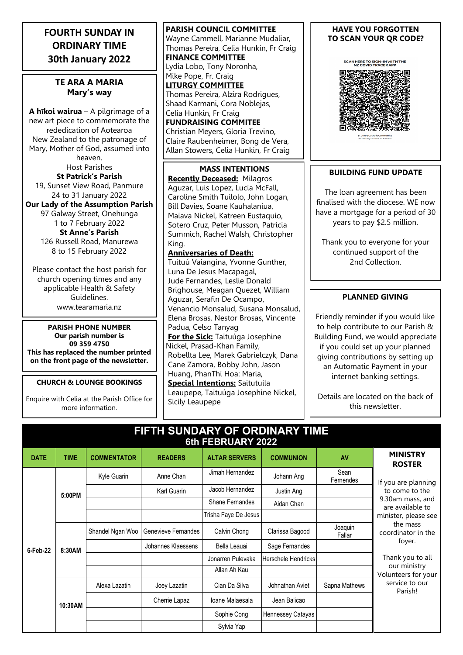# **FOURTH SUNDAY IN ORDINARY TIME 30th January 2022**

# **TE ARA A MARIA Mary's way**

**A hīkoi wairua** – A pilgrimage of a new art piece to commemorate the rededication of Aotearoa New Zealand to the patronage of Mary, Mother of God, assumed into heaven. Host Parishes

**St Patrick's Parish** 19, Sunset View Road, Panmure 24 to 31 January 2022

**Our Lady of the Assumption Parish** 97 Galway Street, Onehunga 1 to 7 February 2022 **St Anne's Parish** 126 Russell Road, Manurewa 8 to 15 February 2022

Please contact the host parish for church opening times and any applicable Health & Safety Guidelines. www.tearamaria.nz

**PARISH PHONE NUMBER Our parish number is 09 359 4750 This has replaced the number printed on the front page of the newsletter.**

**CHURCH & LOUNGE BOOKINGS**

Enquire with Celia at the Parish Office for more information.

**PARISH COUNCIL COMMITTEE** Wayne Cammell, Marianne Mudaliar, Thomas Pereira, Celia Hunkin, Fr Craig **FINANCE COMMITTEE** Lydia Lobo, Tony Noronha, Mike Pope, Fr. Craig **LITURGY COMMITTEE** Thomas Pereira, Alzira Rodrigues, Shaad Karmani, Cora Noblejas, Celia Hunkin, Fr Craig **FUNDRAISING COMMITEE** Christian Meyers, Gloria Trevino, Claire Raubenheimer, Bong de Vera, Allan Stowers, Celia Hunkin, Fr Craig

**MASS INTENTIONS Recently Deceased:** Milagros Aguzar, Luis Lopez, Lucia McFall, Caroline Smith Tuilolo, John Logan, Bill Davies, Soane Kauhalaniua, Maiava Nickel, Katreen Eustaquio, Sotero Cruz, Peter Musson, Patricia Summich, Rachel Walsh, Christopher King.

#### **Anniversaries of Death:**

Tuituú Vaiangina, Yvonne Gunther, Luna De Jesus Macapagal, Jude Fernandes, Leslie Donald Brighouse, Meagan Quezet, William Aguzar, Serafin De Ocampo, Venancio Monsalud, Susana Monsalud, Elena Brosas, Nestor Brosas, Vincente Padua, Celso Tanyag **For the Sick:** Taituúga Josephine Nickel, Prasad-Khan Family, Robellta Lee, Marek Gabrielczyk, Dana Cane Zamora, Bobby John, Jason Huang, PhanThi Hoa: Maria, **Special Intentions:** Saitutuila Leaupepe, Taituúga Josephine Nickel, Sicily Leaupepe

#### **HAVE YOU FORGOTTEN TO SCAN YOUR QR CODE?**

SCAN HERE TO SIGN-IN WITH THE<br>NZ COVID TRACER APP



# **BUILDING FUND UPDATE**

The loan agreement has been finalised with the diocese. WE now have a mortgage for a period of 30 years to pay \$2.5 million.

Thank you to everyone for your continued support of the 2nd Collection.

# **PLANNED GIVING**

Friendly reminder if you would like to help contribute to our Parish & Building Fund, we would appreciate if you could set up your planned giving contributions by setting up an Automatic Payment in your internet banking settings.

Details are located on the back of this newsletter.

| FIFTH SUNDARY OF ORDINARY TIME<br>6th FEBRUARY 2022 |             |                    |                     |                      |                            |                   |                                                                                                                                                                                                                                           |
|-----------------------------------------------------|-------------|--------------------|---------------------|----------------------|----------------------------|-------------------|-------------------------------------------------------------------------------------------------------------------------------------------------------------------------------------------------------------------------------------------|
| <b>DATE</b>                                         | <b>TIME</b> | <b>COMMENTATOR</b> | <b>READERS</b>      | <b>ALTAR SERVERS</b> | <b>COMMUNION</b>           | AV                | <b>MINISTRY</b><br><b>ROSTER</b>                                                                                                                                                                                                          |
| 6-Feb-22                                            | 5:00PM      | Kyle Guarin        | Anne Chan           | Jimah Hernandez      | Johann Ang                 | Sean<br>Fernendes | If you are planning<br>to come to the<br>9.30am mass, and<br>are available to<br>minister, please see<br>the mass<br>coordinator in the<br>foyer.<br>Thank you to all<br>our ministry<br>Volunteers for your<br>service to our<br>Parish! |
|                                                     |             |                    | Karl Guarin         | Jacob Hernandez      | Justin Ang                 |                   |                                                                                                                                                                                                                                           |
|                                                     |             |                    |                     | Shane Fernandes      | Aidan Chan                 |                   |                                                                                                                                                                                                                                           |
|                                                     |             |                    |                     | Trisha Faye De Jesus |                            |                   |                                                                                                                                                                                                                                           |
|                                                     | 8:30AM      | Shandel Ngan Woo   | Genevieve Fernandes | Calvin Chong         | Clarissa Bagood            | Joaquin<br>Fallar |                                                                                                                                                                                                                                           |
|                                                     |             |                    | Johannes Klaessens  | Bella Leauai         | Sage Fernandes             |                   |                                                                                                                                                                                                                                           |
|                                                     |             |                    |                     | Jonarren Pulevaka    | <b>Herschele Hendricks</b> |                   |                                                                                                                                                                                                                                           |
|                                                     |             |                    |                     | Allan Ah Kau         |                            |                   |                                                                                                                                                                                                                                           |
|                                                     | 10:30AM     | Alexa Lazatin      | Joey Lazatin        | Cian Da Silva        | Johnathan Aviet            | Sapna Mathews     |                                                                                                                                                                                                                                           |
|                                                     |             |                    | Cherrie Lapaz       | Ioane Malaesala      | Jean Balicao               |                   |                                                                                                                                                                                                                                           |
|                                                     |             |                    |                     | Sophie Cong          | Hennessey Catayas          |                   |                                                                                                                                                                                                                                           |
|                                                     |             |                    |                     | Sylvia Yap           |                            |                   |                                                                                                                                                                                                                                           |